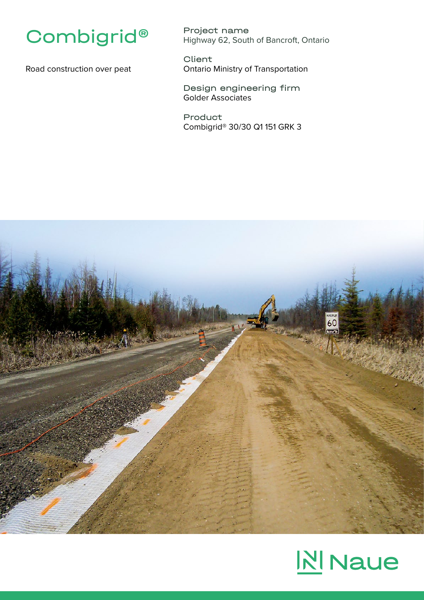

Road construction over peat

Project name Highway 62, South of Bancroft, Ontario

**Client** Ontario Ministry of Transportation

Design engineering firm Golder Associates

Product Combigrid® 30/30 Q1 151 GRK 3



## **N** Naue